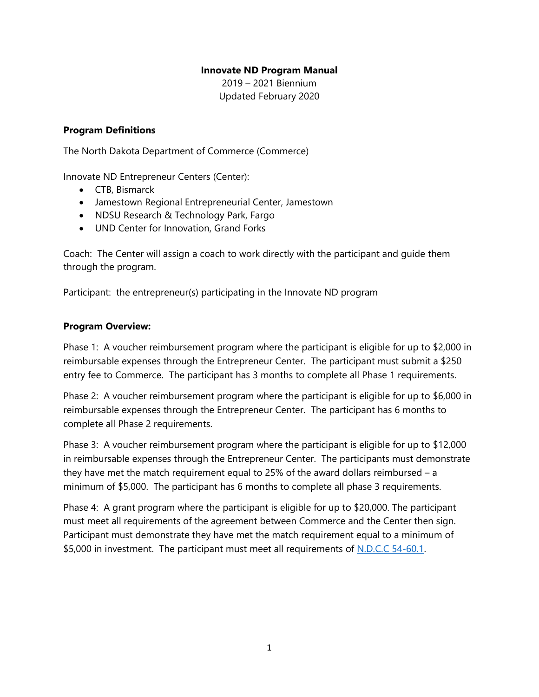### **Innovate ND Program Manual**

2019 – 2021 Biennium Updated February 2020

### **Program Definitions**

The North Dakota Department of Commerce (Commerce)

Innovate ND Entrepreneur Centers (Center):

- CTB, Bismarck
- Jamestown Regional Entrepreneurial Center, Jamestown
- NDSU Research & Technology Park, Fargo
- UND Center for Innovation, Grand Forks

Coach: The Center will assign a coach to work directly with the participant and guide them through the program.

Participant: the entrepreneur(s) participating in the Innovate ND program

#### **Program Overview:**

Phase 1: A voucher reimbursement program where the participant is eligible for up to \$2,000 in reimbursable expenses through the Entrepreneur Center. The participant must submit a \$250 entry fee to Commerce. The participant has 3 months to complete all Phase 1 requirements.

Phase 2: A voucher reimbursement program where the participant is eligible for up to \$6,000 in reimbursable expenses through the Entrepreneur Center. The participant has 6 months to complete all Phase 2 requirements.

Phase 3: A voucher reimbursement program where the participant is eligible for up to \$12,000 in reimbursable expenses through the Entrepreneur Center. The participants must demonstrate they have met the match requirement equal to 25% of the award dollars reimbursed  $- a$ minimum of \$5,000. The participant has 6 months to complete all phase 3 requirements.

Phase 4: A grant program where the participant is eligible for up to \$20,000. The participant must meet all requirements of the agreement between Commerce and the Center then sign. Participant must demonstrate they have met the match requirement equal to a minimum of \$5,000 in investment. The participant must meet all requirements of [N.D.C.C 54-60.1.](https://www.legis.nd.gov/cencode/t54c60-1.pdf)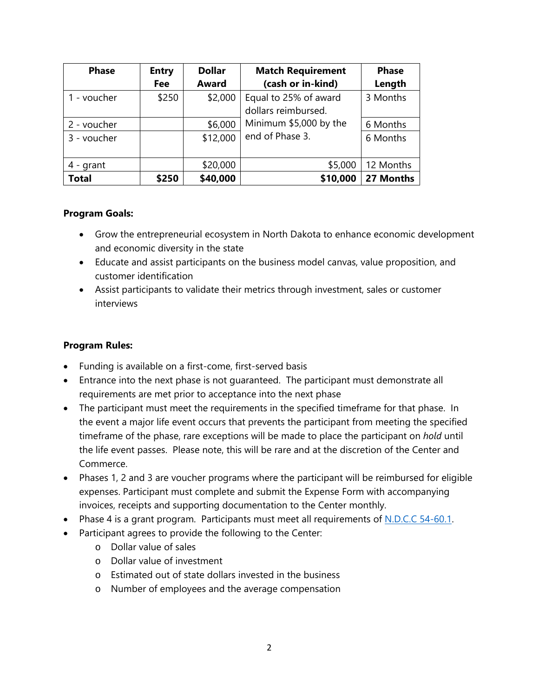| <b>Phase</b> | <b>Entry</b> | <b>Dollar</b> | <b>Match Requirement</b>                     | <b>Phase</b> |
|--------------|--------------|---------------|----------------------------------------------|--------------|
|              | Fee          | <b>Award</b>  | (cash or in-kind)                            | Length       |
| 1 - voucher  | \$250        | \$2,000       | Equal to 25% of award<br>dollars reimbursed. | 3 Months     |
| 2 - voucher  |              | \$6,000       | Minimum \$5,000 by the                       | 6 Months     |
| 3 - voucher  |              | \$12,000      | end of Phase 3.                              | 6 Months     |
| $4 -$ qrant  |              | \$20,000      | \$5,000                                      | 12 Months    |
| <b>Total</b> | \$250        | \$40,000      | \$10,000                                     | 27 Months    |

### **Program Goals:**

- Grow the entrepreneurial ecosystem in North Dakota to enhance economic development and economic diversity in the state
- Educate and assist participants on the business model canvas, value proposition, and customer identification
- Assist participants to validate their metrics through investment, sales or customer interviews

### **Program Rules:**

- Funding is available on a first-come, first-served basis
- Entrance into the next phase is not guaranteed. The participant must demonstrate all requirements are met prior to acceptance into the next phase
- The participant must meet the requirements in the specified timeframe for that phase. In the event a major life event occurs that prevents the participant from meeting the specified timeframe of the phase, rare exceptions will be made to place the participant on *hold* until the life event passes. Please note, this will be rare and at the discretion of the Center and Commerce.
- Phases 1, 2 and 3 are voucher programs where the participant will be reimbursed for eligible expenses. Participant must complete and submit the Expense Form with accompanying invoices, receipts and supporting documentation to the Center monthly.
- Phase 4 is a grant program. Participants must meet all requirements of [N.D.C.C 54-60.1.](https://www.legis.nd.gov/cencode/t54c60-1.pdf)
- Participant agrees to provide the following to the Center:
	- o Dollar value of sales
	- o Dollar value of investment
	- o Estimated out of state dollars invested in the business
	- o Number of employees and the average compensation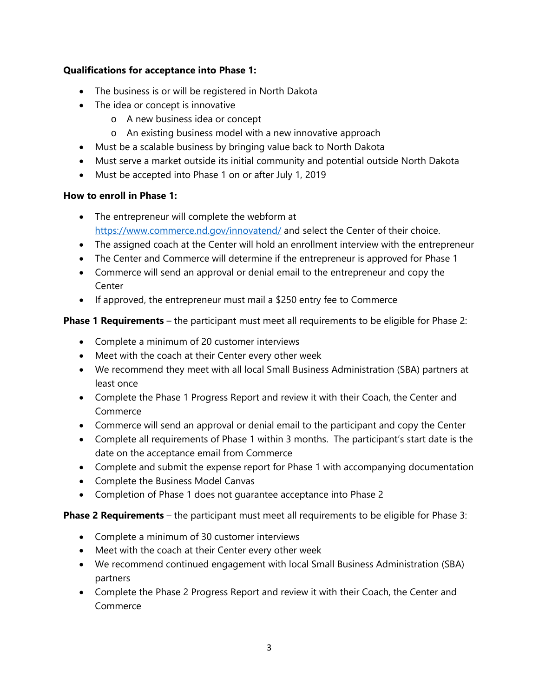## **Qualifications for acceptance into Phase 1:**

- The business is or will be registered in North Dakota
- The idea or concept is innovative
	- o A new business idea or concept
	- o An existing business model with a new innovative approach
- Must be a scalable business by bringing value back to North Dakota
- Must serve a market outside its initial community and potential outside North Dakota
- Must be accepted into Phase 1 on or after July 1, 2019

## **How to enroll in Phase 1:**

- The entrepreneur will complete the webform at <https://www.commerce.nd.gov/innovatend/> and select the Center of their choice.
- The assigned coach at the Center will hold an enrollment interview with the entrepreneur
- The Center and Commerce will determine if the entrepreneur is approved for Phase 1
- Commerce will send an approval or denial email to the entrepreneur and copy the Center
- If approved, the entrepreneur must mail a \$250 entry fee to Commerce

## **Phase 1 Requirements** – the participant must meet all requirements to be eligible for Phase 2:

- Complete a minimum of 20 customer interviews
- Meet with the coach at their Center every other week
- We recommend they meet with all local Small Business Administration (SBA) partners at least once
- Complete the Phase 1 Progress Report and review it with their Coach, the Center and Commerce
- Commerce will send an approval or denial email to the participant and copy the Center
- Complete all requirements of Phase 1 within 3 months. The participant's start date is the date on the acceptance email from Commerce
- Complete and submit the expense report for Phase 1 with accompanying documentation
- Complete the Business Model Canvas
- Completion of Phase 1 does not guarantee acceptance into Phase 2

**Phase 2 Requirements** – the participant must meet all requirements to be eligible for Phase 3:

- Complete a minimum of 30 customer interviews
- Meet with the coach at their Center every other week
- We recommend continued engagement with local Small Business Administration (SBA) partners
- Complete the Phase 2 Progress Report and review it with their Coach, the Center and Commerce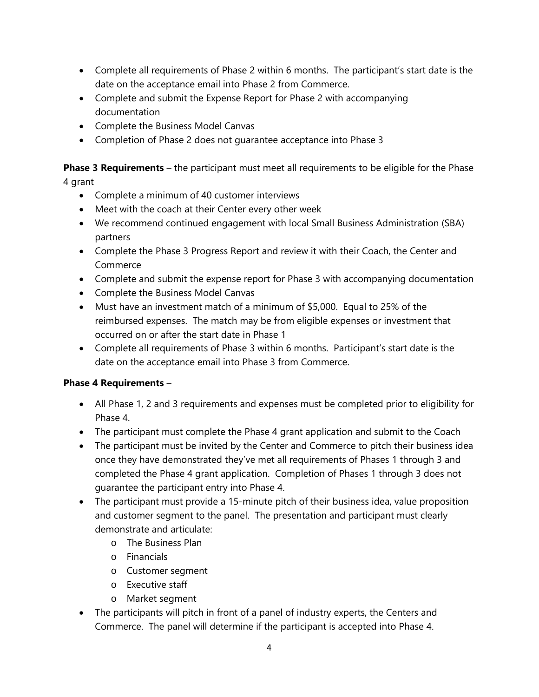- Complete all requirements of Phase 2 within 6 months. The participant's start date is the date on the acceptance email into Phase 2 from Commerce.
- Complete and submit the Expense Report for Phase 2 with accompanying documentation
- Complete the Business Model Canvas
- Completion of Phase 2 does not guarantee acceptance into Phase 3

**Phase 3 Requirements** – the participant must meet all requirements to be eligible for the Phase 4 grant

- Complete a minimum of 40 customer interviews
- Meet with the coach at their Center every other week
- We recommend continued engagement with local Small Business Administration (SBA) partners
- Complete the Phase 3 Progress Report and review it with their Coach, the Center and Commerce
- Complete and submit the expense report for Phase 3 with accompanying documentation
- Complete the Business Model Canvas
- Must have an investment match of a minimum of \$5,000. Equal to 25% of the reimbursed expenses. The match may be from eligible expenses or investment that occurred on or after the start date in Phase 1
- Complete all requirements of Phase 3 within 6 months. Participant's start date is the date on the acceptance email into Phase 3 from Commerce.

# **Phase 4 Requirements** –

- All Phase 1, 2 and 3 requirements and expenses must be completed prior to eligibility for Phase 4.
- The participant must complete the Phase 4 grant application and submit to the Coach
- The participant must be invited by the Center and Commerce to pitch their business idea once they have demonstrated they've met all requirements of Phases 1 through 3 and completed the Phase 4 grant application. Completion of Phases 1 through 3 does not guarantee the participant entry into Phase 4.
- The participant must provide a 15-minute pitch of their business idea, value proposition and customer segment to the panel. The presentation and participant must clearly demonstrate and articulate:
	- o The Business Plan
	- o Financials
	- o Customer segment
	- o Executive staff
	- o Market segment
- The participants will pitch in front of a panel of industry experts, the Centers and Commerce. The panel will determine if the participant is accepted into Phase 4.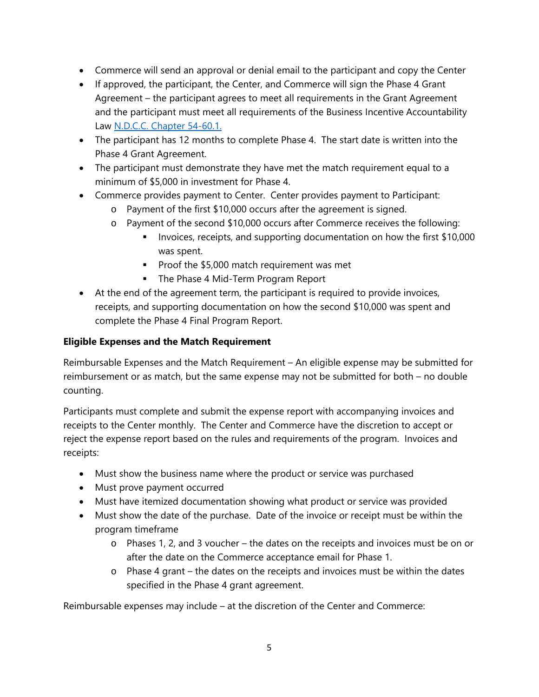- Commerce will send an approval or denial email to the participant and copy the Center
- If approved, the participant, the Center, and Commerce will sign the Phase 4 Grant Agreement – the participant agrees to meet all requirements in the Grant Agreement and the participant must meet all requirements of the Business Incentive Accountability Law [N.D.C.C. Chapter 54-60.1.](https://www.legis.nd.gov/cencode/t54c60-1.pdf)
- The participant has 12 months to complete Phase 4. The start date is written into the Phase 4 Grant Agreement.
- The participant must demonstrate they have met the match requirement equal to a minimum of \$5,000 in investment for Phase 4.
- Commerce provides payment to Center. Center provides payment to Participant:
	- o Payment of the first \$10,000 occurs after the agreement is signed.
	- o Payment of the second \$10,000 occurs after Commerce receives the following:
		- Invoices, receipts, and supporting documentation on how the first \$10,000 was spent.
		- Proof the  $$5,000$  match requirement was met
		- The Phase 4 Mid-Term Program Report
- At the end of the agreement term, the participant is required to provide invoices, receipts, and supporting documentation on how the second \$10,000 was spent and complete the Phase 4 Final Program Report.

## **Eligible Expenses and the Match Requirement**

Reimbursable Expenses and the Match Requirement – An eligible expense may be submitted for reimbursement or as match, but the same expense may not be submitted for both – no double counting.

Participants must complete and submit the expense report with accompanying invoices and receipts to the Center monthly. The Center and Commerce have the discretion to accept or reject the expense report based on the rules and requirements of the program. Invoices and receipts:

- Must show the business name where the product or service was purchased
- Must prove payment occurred
- Must have itemized documentation showing what product or service was provided
- Must show the date of the purchase. Date of the invoice or receipt must be within the program timeframe
	- o Phases 1, 2, and 3 voucher the dates on the receipts and invoices must be on or after the date on the Commerce acceptance email for Phase 1.
	- o Phase 4 grant the dates on the receipts and invoices must be within the dates specified in the Phase 4 grant agreement.

Reimbursable expenses may include – at the discretion of the Center and Commerce: